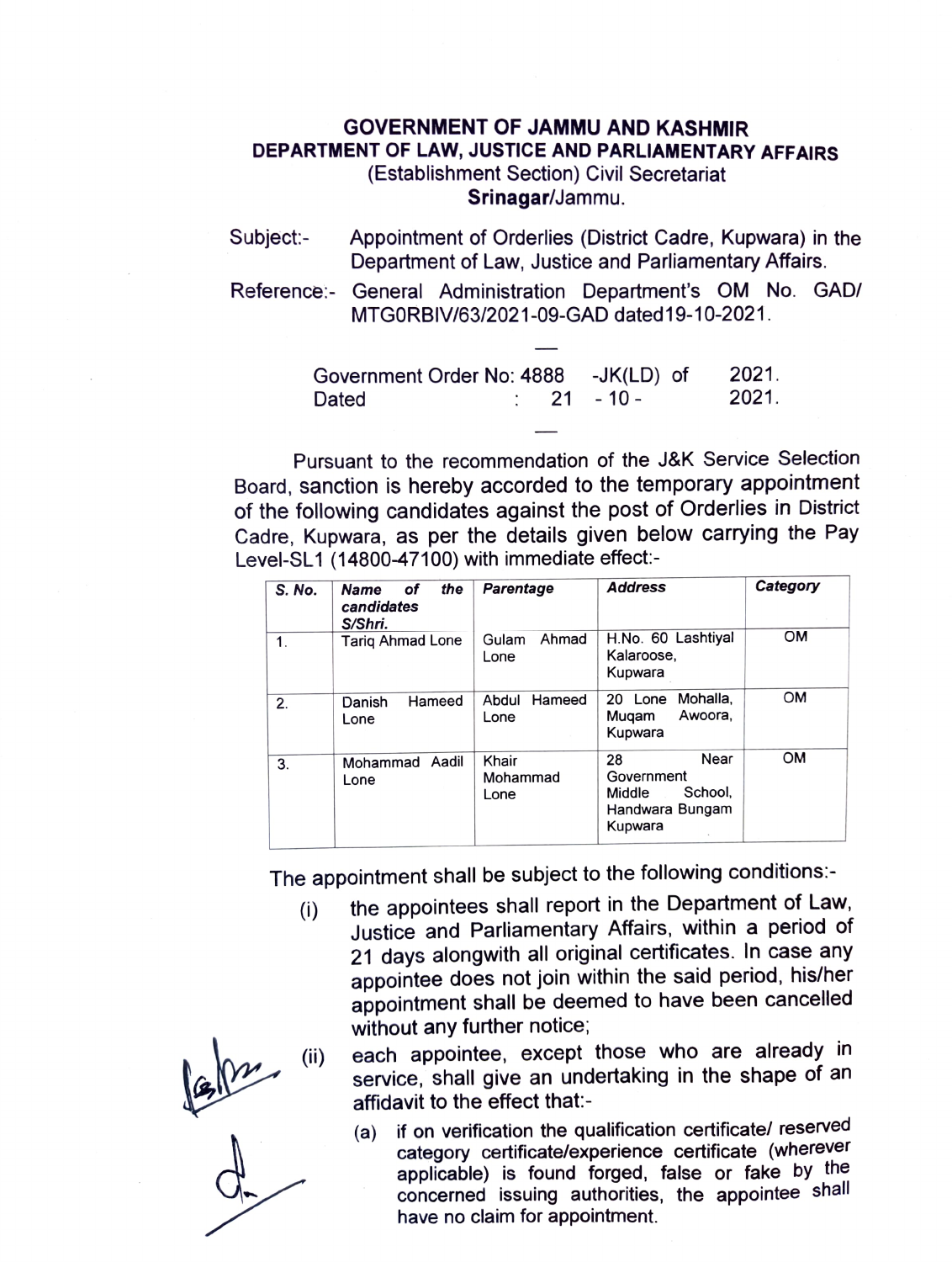## GOVERNMENT OF JAMMU AND KASHMIR DEPARTMENT OF LAW, JUSTICE AND PARLIAMENTARY AFFAIRS (Establishment Section) Civil Secretariat

Srinagar/Jammu.

- Subject: Appointment of Orderlies (District Cadre, Kupwara) in the Department of Law, Justice and Parliamentary Affairs.
- Reference:- General Administration Department's OM No. GAD/ MTGORBIV/63/2021-09-GAD dated19-10-2021

| Government Order No: 4888 -JK(LD) of |  |                        | 2021. |
|--------------------------------------|--|------------------------|-------|
| Dated                                |  | $\therefore$ 21 - 10 - | 2021. |

Pursuant to the recommendation of the J&K Service Selection Board, sanction is hereby accorded to the temporary appointment of the following candidates against the post of Orderlies in District Cadre, Kupwara, as per the details given below carrying the Pay Level-SL1 (14800-47 100) with immediate effect:

| S. No. | the<br><b>Name</b><br>οf<br>candidates<br>S/Shri. | <b>Parentage</b>          | <b>Address</b>                                                              | Category  |
|--------|---------------------------------------------------|---------------------------|-----------------------------------------------------------------------------|-----------|
| 1.     | <b>Tariq Ahmad Lone</b>                           | Ahmad<br>Gulam<br>Lone    | H.No. 60 Lashtiyal<br>Kalaroose,<br>Kupwara                                 | <b>OM</b> |
| 2.     | Hameed<br>Danish<br>Lone                          | Hameed<br>Abdul<br>Lone   | Mohalla,<br>Lone<br>20<br>Awoora,<br>Mugam<br>Kupwara                       | <b>OM</b> |
| 3.     | Aadil<br>Mohammad<br>Lone                         | Khair<br>Mohammad<br>Lone | Near<br>28<br>Government<br>School,<br>Middle<br>Handwara Bungam<br>Kupwara | <b>OM</b> |

The appointment shall be subject to the following conditions:-

(i) the appointees shall report in the Department of Law, Justice and Parliamentary Affairs, within a period of 21 days alongwith all original certificates. In case any appointee does not join within the said period, his/her appointment shall be deemed to have been cancelled without any further notice;

each appointee, except those who are already in service, shall give an undertaking in the shape of an affidavit to the effect that-

(a) if on verification the qualification certificate/ reserved category certificatelexperience certificate (wherever applicable) is found forged, false or fake by the concerned issuing authorities, the appointee shall have no claim for appointment.

 $\frac{\int e^{-x}}{x}$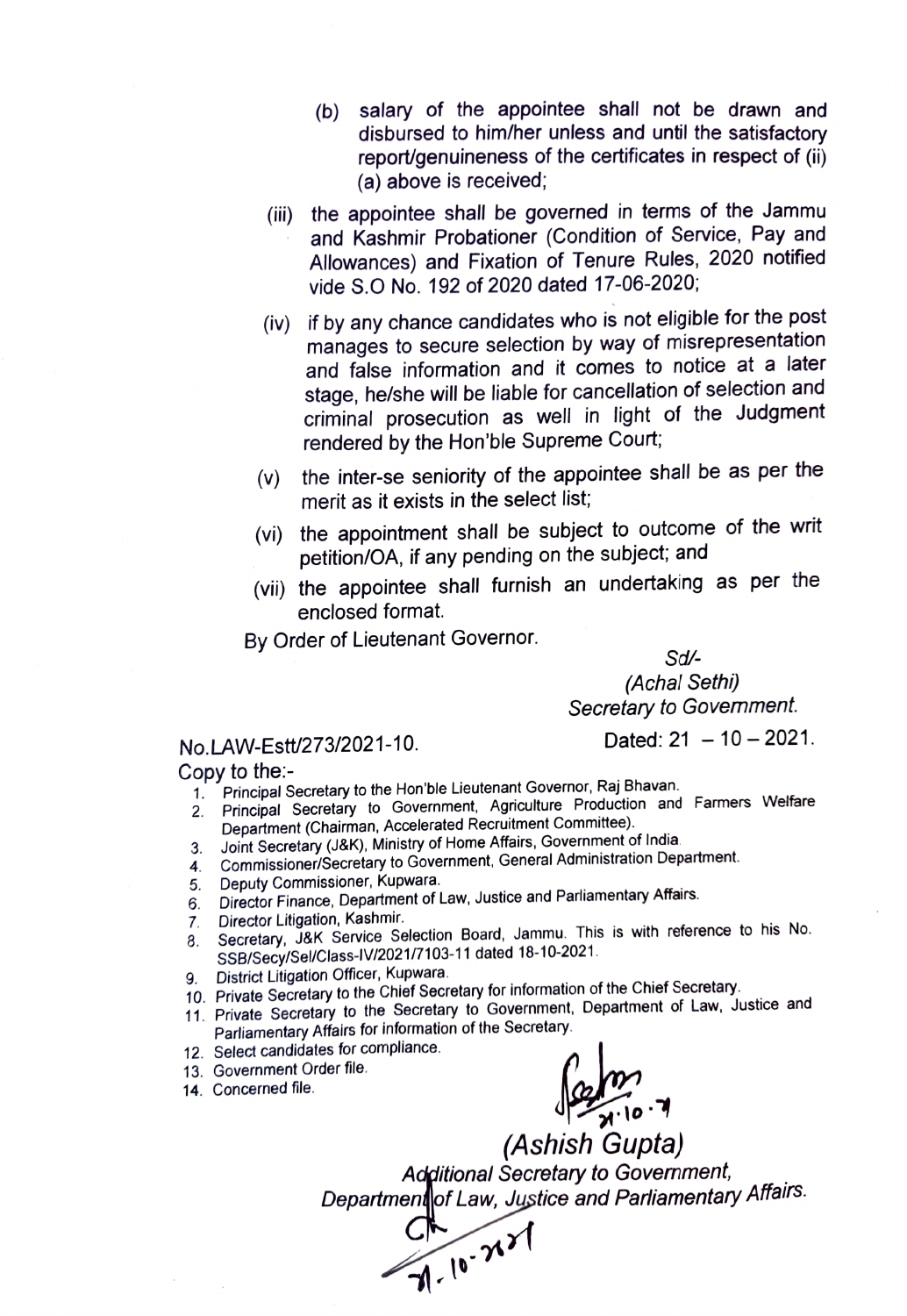- (b) salary of the appointee shall not be drawn and disbursed to him/her unless and until the satisfactory report/genuineness of the certificates in respect of (i) (a) above is received;
- (ii) the appointee shall be governed in terms of the Jammu and Kashmir Probationer (Condition of Service, Pay and Allowances) and Fixation of Tenure Rules, 2020 notified vide S.O No. 192 of 2020 dated 17-06-2020;
- (iv) if by any chance candidates who is not eligible for the post manages to secure selection by way of misrepresentation and false information and it comes to notice at a later stage, he/she will be liable for cancellation of selection and criminal prosecution as well in light of the Judgment rendered by the Hon'ble Supreme Court
- (V) the inter-se seniority of the appointee shall be as per the merit as it exists in the select list;
- (vi) the appointment shall be subject to outcome of the writ petition/OA, if any pending on the subject; and
- (vii) the appointee shall furnish an undetaking as per the enclosed format.

By Order of Lieutenant Governor.

Sd (Achal Sethi) Secretary to Govemment.

## No.LAW-Estt/273/2021-10. Dated: 21 - 10 - 2021.

Copy to the:

- 
- 1. Principal Secretary to the Hon'ble Lieutenant Governor, Raj Bhavan.<br>2. Principal Secretary to Government, Agriculture Production and Principal Secretary to Government, Agriculture Production and Farmers Welfare Department (Chairman, Accelerated Recruitment Committee).
- 
- 3. Joint Secretary (J&K), Ministry of Home Affairs, Government of India. 4. Commissioner/Secretary to Government, General Administration Department.
- 5. Deputy Commissioner, Kupwara.
- Director Finance, Department of Law, Justice and Parliamentary Affairs. 5.
- Director Litigation, Kashmir. 7.
- Secretary, J&K Service Selection Board, Jammu. This is with reference to his No. SSB/Secy/Sel/Class-IV/2021/7103-11 dated 18-10-2021. 3.
- 
- 9. District Litigation Officer, Kupwara.<br>10. Private Secretary to the Chief Secretary for information of the Chief Secretary.
- 10. Private Secretary to the Secretary to Government, Department of Law, Justice and Parliamentary Affairs for information of the Secretary.
- 12. Select candidates for compliance.
- 13. Government Order file.
- 14. Concerned file.

 $\int_{\infty}^{\infty}$ 

(Ashish Gupta) Additional Secretary to Government, Departmen|of Law, Jystice and Parliamentary Affairs.

C